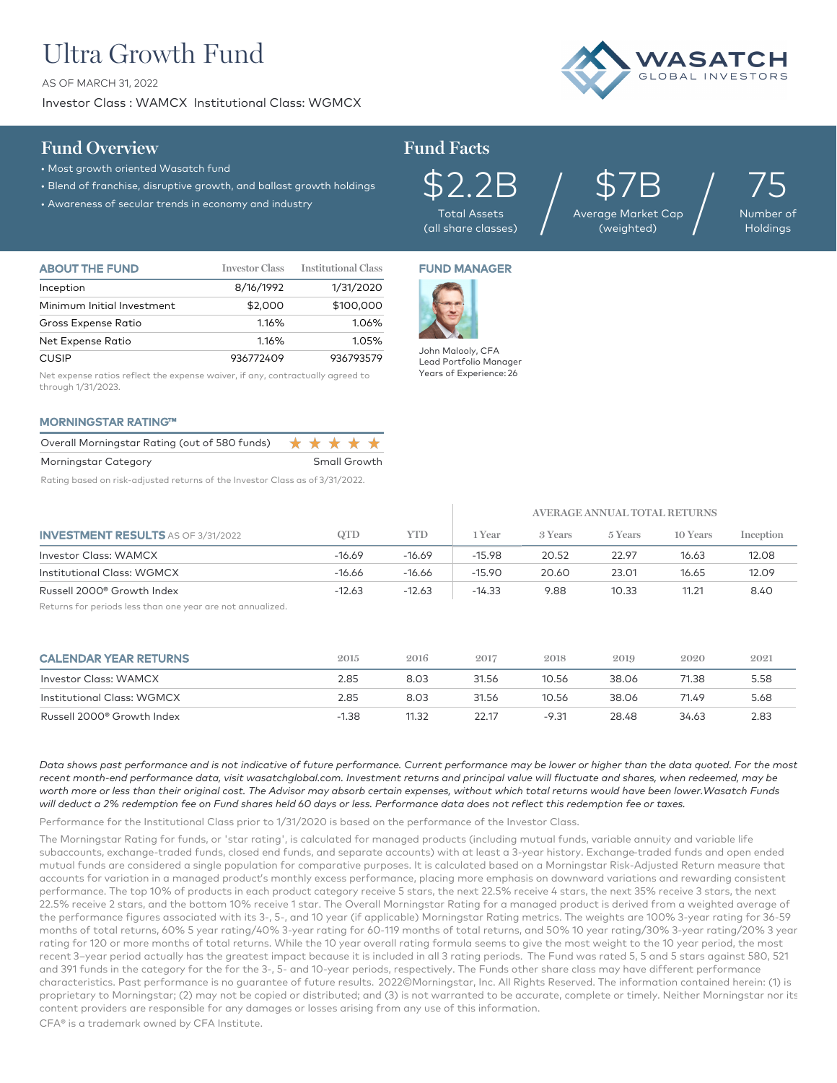# Ultra Growth Fund

AS OF MARCH 31, 2022

Investor Class : WAMCX Institutional Class: WGMCX

## **Fund Overview Fund Facts**



- Most growth oriented Wasatch fund
- Blend of franchise, disruptive growth, and ballast growth holdings • Must growth onented vidsucth rond<br>• Blend of franchise, disruptive growth, and ballast growth holdings  $\mathfrak{S}2.2\mathbb{B}$
- 

Total Assets (all share classes)

\$7B Average Market Cap  $$7B   
age Market Cap (weighted)$ 

75 Number of Holdings

| <b>ABOUT THE FUND</b>      | <b>Investor Class</b> | <b>Institutional Class</b> |
|----------------------------|-----------------------|----------------------------|
| Inception                  | 8/16/1992             | 1/31/2020                  |
| Minimum Initial Investment | \$2,000               | \$100,000                  |
| Gross Expense Ratio        | 1.16%                 | 1.06%                      |
| Net Expense Ratio          | 1.16%                 | 1.05%                      |
| <b>CUSIP</b>               | 936772409             | 936793579                  |

Net expense ratios reflect the expense waiver, if any, contractually agreed to through 1/31/2023.

## MORNINGSTAR RATING™

| Overall Morningstar Rating (out of 580 funds) ★ ★ ★ ★ ★ |  |                   |  |
|---------------------------------------------------------|--|-------------------|--|
| Morningstar Category                                    |  | Small Growth      |  |
|                                                         |  | _ _ _ _ _ _ _ _ _ |  |

Rating based on risk-adjusted returns of the Investor Class as of 3/31/2022.

## FUND MANAGER



John Malooly, CFA Lead Portfolio Manager Years of Experience: 26

|                                           |          |          | AVERAGE ANNUAL TOTAL RETURNS |         |         |          |           |
|-------------------------------------------|----------|----------|------------------------------|---------|---------|----------|-----------|
| <b>INVESTMENT RESULTS</b> AS OF 3/31/2022 | QTD      | YTD      | l Year                       | 3 Years | 5 Years | 10 Years | Inception |
| <b>Investor Class: WAMCX</b>              | $-16.69$ | -16.69   | $-15.98$                     | 20.52   | 22.97   | 16.63    | 12.08     |
| Institutional Class: WGMCX                | $-16.66$ | $-16.66$ | $-15.90$                     | 20.60   | 23.01   | 16.65    | 12.09     |
| Russell 2000 <sup>®</sup> Growth Index    | $-12.63$ | $-12.63$ | $-14.33$                     | 9.88    | 10.33   | 11.21    | 8.40      |

Returns for periods less than one year are not annualized.

| <b>CALENDAR YEAR RETURNS</b> | 2015    | 2016  | 2017  | 2018    | 2019  | 2020  | 2021 |
|------------------------------|---------|-------|-------|---------|-------|-------|------|
| Investor Class: WAMCX        | 2.85    | 8.03  | 31.56 | 10.56   | 38.06 | 71.38 | 5.58 |
| Institutional Class: WGMCX   | 2.85    | 8.03  | 31.56 | 10.56   | 38.06 | 71.49 | 5.68 |
| Russell 2000® Growth Index   | $-1.38$ | 11.32 | 22.17 | $-9.31$ | 28.48 | 34.63 | 2.83 |

*Data shows past performance and is not indicative of future performance. Current performance may be lower or higher than the data quoted. For the most*  recent month-end performance data, visit wasatchglobal.com. Investment returns and principal value will fluctuate and shares, when redeemed, may be worth more or less than their original cost. The Advisor may absorb certain expenses, without which total returns would have been lower.Wasatch Funds *will deduct a 2% redemption fee on Fund shares held 60 days or less. Performance data does not reflect this redemption fee or taxes.*

Performance for the Institutional Class prior to 1/31/2020 is based on the performance of the Investor Class.

The Morningstar Rating for funds, or 'star rating', is calculated for managed products (including mutual funds, variable annuity and variable life subaccounts, exchange-traded funds, closed end funds, and separate accounts) with at least a 3-year history. Exchange–traded funds and open ended mutual funds are considered a single population for comparative purposes. It is calculated based on a Morningstar Risk-Adjusted Return measure that accounts for variation in a managed product's monthly excess performance, placing more emphasis on downward variations and rewarding consistent performance. The top 10% of products in each product category receive 5 stars, the next 22.5% receive 4 stars, the next 35% receive 3 stars, the next 22.5% receive 2 stars, and the bottom 10% receive 1 star. The Overall Morningstar Rating for a managed product is derived from a weighted average of the performance figures associated with its 3-, 5-, and 10 year (if applicable) Morningstar Rating metrics. The weights are 100% 3-year rating for 36-59 months of total returns, 60% 5 year rating/40% 3-year rating for 60-119 months of total returns, and 50% 10 year rating/30% 3-year rating/20% 3 year rating for 120 or more months of total returns. While the 10 year overall rating formula seems to give the most weight to the 10 year period, the most recent 3–year period actually has the greatest impact because it is included in all 3 rating periods. The Fund was rated 5, 5 and 5 stars against 580, 521 and 391 funds in the category for the for the 3-, 5- and 10-year periods, respectively. The Funds other share class may have different performance characteristics. Past performance is no guarantee of future results. 2022©Morningstar, Inc. All Rights Reserved. The information contained herein: (1) is proprietary to Morningstar; (2) may not be copied or distributed; and (3) is not warranted to be accurate, complete or timely. Neither Morningstar nor its content providers are responsible for any damages or losses arising from any use of this information.

CFA® is a trademark owned by CFA Institute.